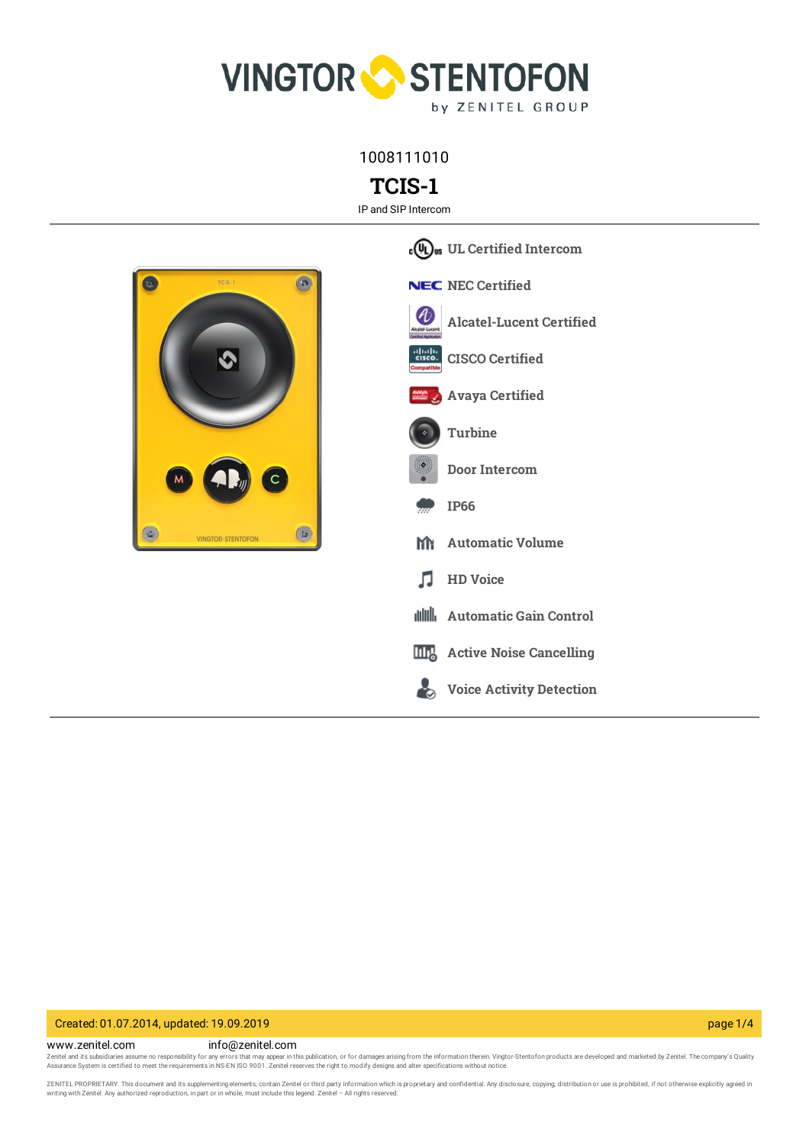

1008111010

**TCIS-1**

IP and SIP Intercom



**UL Certified [Intercom](https://www.zenitel.com/technology/compatibility/ul-certified-intercom) NEC NEC** [Certified](https://www.zenitel.com/technology/compatibility/nec-certified) U **[Alcatel-Lucent](https://www.zenitel.com/technology/compatibility/alcatel-lucent-certified) Certified CISCO [Certified](https://www.zenitel.com/technology/compatibility/cisco-certified) Avaya [Certified](https://www.zenitel.com/technology/compatibility/avaya-certified) [Turbine](https://www.zenitel.com/technology/station-series/turbine) Door [Intercom](https://www.zenitel.com/technology/products-market/door-intercom) [IP66](https://www.zenitel.com/technology/environment/ip66) [Automatic](https://www.zenitel.com/technology/audio/automatic-volume) Volume** m **HD [Voice](https://www.zenitel.com/technology/audio/hd-voice)** л **[Automatic](https://www.zenitel.com/technology/audio/automatic-gain-control) Gain Control Active Noise [Cancelling](https://www.zenitel.com/technology/audio/active-noise-cancelling)** ┻ **Voice Activity [Detection](https://www.zenitel.com/technology/audio/voice-activity-detection)**

# Created: 01.07.2014, updated: 19.09.2019 page 1/4

www.zenitel.com info@zenitel.com Zenitel and its subsidiaries assume no responsibility for any errors that may appear in this publication, or for damages arising from the information therein. Vingtor-Stentofon products are developed and marketed by Zenite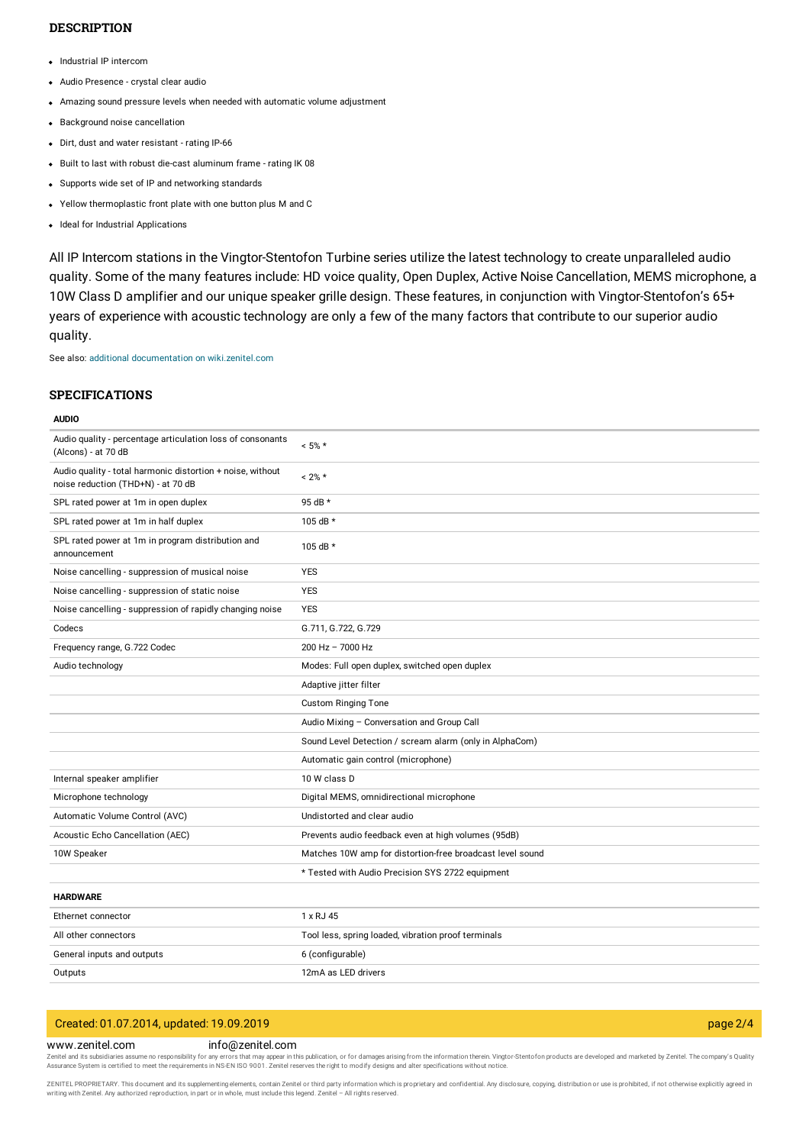# **DESCRIPTION**

- Industrial IP intercom
- Audio Presence crystal clear audio
- Amazing sound pressure levels when needed with automatic volume adjustment
- Background noise cancellation
- Dirt, dust and water resistant rating IP-66
- Built to last with robust die-cast aluminum frame rating IK 08
- Supports wide set of IP and networking standards
- Yellow thermoplastic front plate with one button plus M and C
- Ideal for Industrial Applications

All IP Intercom stations in the Vingtor-Stentofon Turbine series utilize the latest technology to create unparalleled audio quality. Some of the many features include: HD voice quality, Open Duplex, Active Noise Cancellation, MEMS microphone, a 10W Class D amplifier and our unique speaker grille design. These features, in conjunction with Vingtor-Stentofon's 65+ years of experience with acoustic technology are only a few of the many factors that contribute to our superior audio quality.

See also: additional documentation on [wiki.zenitel.com](https://wiki.zenitel.com/wiki/TCIS-1)

## **SPECIFICATIONS**

#### **AUDIO**

| Audio quality - percentage articulation loss of consonants<br>(Alcons) - at 70 dB                | $< 5\% *$                                                 |
|--------------------------------------------------------------------------------------------------|-----------------------------------------------------------|
| Audio quality - total harmonic distortion + noise, without<br>noise reduction (THD+N) - at 70 dB | $< 2\% *$                                                 |
| SPL rated power at 1m in open duplex                                                             | 95 dB *                                                   |
| SPL rated power at 1m in half duplex                                                             | 105 dB $*$                                                |
| SPL rated power at 1m in program distribution and<br>announcement                                | 105 dB *                                                  |
| Noise cancelling - suppression of musical noise                                                  | <b>YES</b>                                                |
| Noise cancelling - suppression of static noise                                                   | <b>YES</b>                                                |
| Noise cancelling - suppression of rapidly changing noise                                         | <b>YES</b>                                                |
| Codecs                                                                                           | G.711, G.722, G.729                                       |
| Frequency range, G.722 Codec                                                                     | 200 Hz - 7000 Hz                                          |
| Audio technology                                                                                 | Modes: Full open duplex, switched open duplex             |
|                                                                                                  | Adaptive jitter filter                                    |
|                                                                                                  | <b>Custom Ringing Tone</b>                                |
|                                                                                                  | Audio Mixing - Conversation and Group Call                |
|                                                                                                  | Sound Level Detection / scream alarm (only in AlphaCom)   |
|                                                                                                  | Automatic gain control (microphone)                       |
| Internal speaker amplifier                                                                       | 10 W class D                                              |
| Microphone technology                                                                            | Digital MEMS, omnidirectional microphone                  |
| Automatic Volume Control (AVC)                                                                   | Undistorted and clear audio                               |
| Acoustic Echo Cancellation (AEC)                                                                 | Prevents audio feedback even at high volumes (95dB)       |
| 10W Speaker                                                                                      | Matches 10W amp for distortion-free broadcast level sound |
|                                                                                                  | * Tested with Audio Precision SYS 2722 equipment          |
| <b>HARDWARE</b>                                                                                  |                                                           |
| Ethernet connector                                                                               | 1 x RJ 45                                                 |
| All other connectors                                                                             | Tool less, spring loaded, vibration proof terminals       |
| General inputs and outputs                                                                       | 6 (configurable)                                          |
| Outputs                                                                                          | 12mA as LED drivers                                       |

# Created: 01.07.2014, updated: 19.09.2019 page 2/4

# www.zenitel.com info@zenitel.com

Zenitel and its subsidiaries assume no responsibility for any errors that may appear in this publication, or for damages arising from the information therein. Vingtor-Stentofon products are developed and marketed by Zenite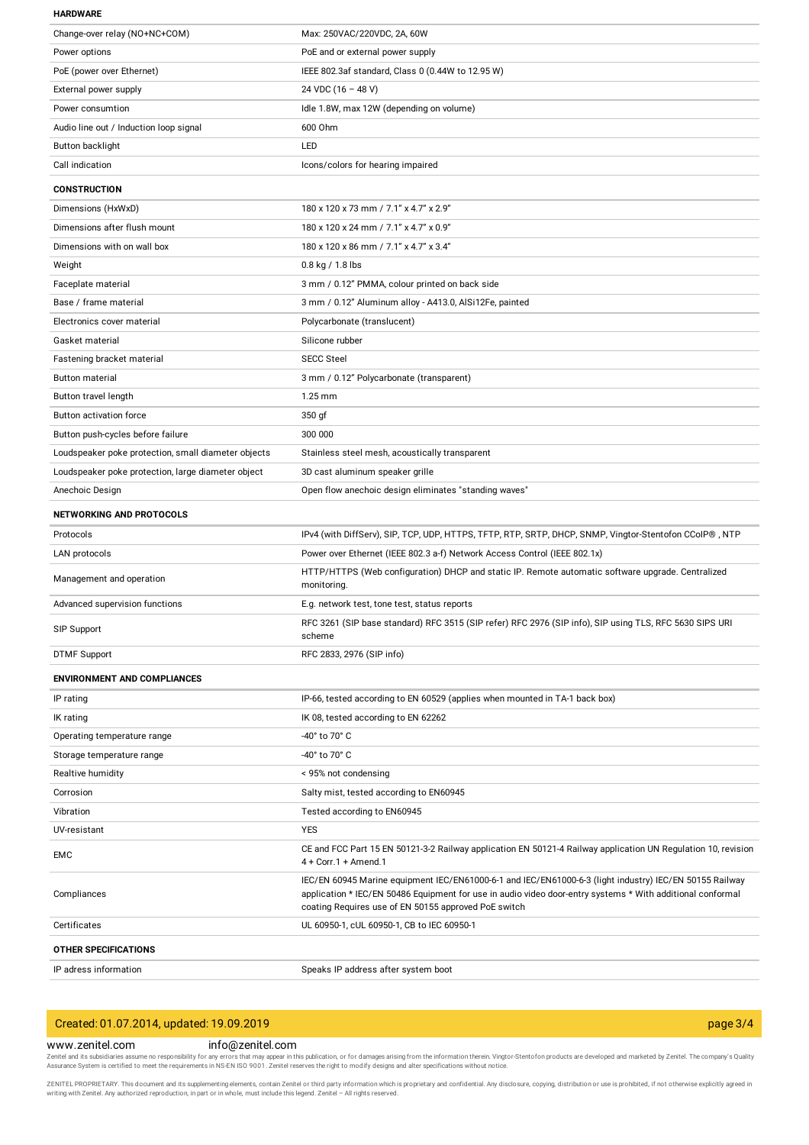#### **HARDWARE**

| Change-over relay (NO+NC+COM)                       | Max: 250VAC/220VDC, 2A, 60W                                                                                                                                                                                                                                                   |
|-----------------------------------------------------|-------------------------------------------------------------------------------------------------------------------------------------------------------------------------------------------------------------------------------------------------------------------------------|
| Power options                                       | PoE and or external power supply                                                                                                                                                                                                                                              |
| PoE (power over Ethernet)                           | IEEE 802.3af standard, Class 0 (0.44W to 12.95 W)                                                                                                                                                                                                                             |
| External power supply                               | 24 VDC (16 - 48 V)                                                                                                                                                                                                                                                            |
| Power consumtion                                    | Idle 1.8W, max 12W (depending on volume)                                                                                                                                                                                                                                      |
| Audio line out / Induction loop signal              | 600 Ohm                                                                                                                                                                                                                                                                       |
| Button backlight                                    | LED                                                                                                                                                                                                                                                                           |
| Call indication                                     | Icons/colors for hearing impaired                                                                                                                                                                                                                                             |
| <b>CONSTRUCTION</b>                                 |                                                                                                                                                                                                                                                                               |
| Dimensions (HxWxD)                                  | 180 x 120 x 73 mm / 7.1" x 4.7" x 2.9"                                                                                                                                                                                                                                        |
| Dimensions after flush mount                        | 180 x 120 x 24 mm / 7.1" x 4.7" x 0.9"                                                                                                                                                                                                                                        |
| Dimensions with on wall box                         | 180 x 120 x 86 mm / 7.1" x 4.7" x 3.4"                                                                                                                                                                                                                                        |
| Weight                                              | $0.8$ kg / 1.8 lbs                                                                                                                                                                                                                                                            |
| Faceplate material                                  | 3 mm / 0.12" PMMA, colour printed on back side                                                                                                                                                                                                                                |
| Base / frame material                               | 3 mm / 0.12" Aluminum alloy - A413.0, AlSi12Fe, painted                                                                                                                                                                                                                       |
| Electronics cover material                          | Polycarbonate (translucent)                                                                                                                                                                                                                                                   |
| Gasket material                                     | Silicone rubber                                                                                                                                                                                                                                                               |
| Fastening bracket material                          | <b>SECC Steel</b>                                                                                                                                                                                                                                                             |
| <b>Button material</b>                              | 3 mm / 0.12" Polycarbonate (transparent)                                                                                                                                                                                                                                      |
| Button travel length                                | 1.25 mm                                                                                                                                                                                                                                                                       |
| Button activation force                             | 350 gf                                                                                                                                                                                                                                                                        |
| Button push-cycles before failure                   | 300 000                                                                                                                                                                                                                                                                       |
| Loudspeaker poke protection, small diameter objects | Stainless steel mesh, acoustically transparent                                                                                                                                                                                                                                |
| Loudspeaker poke protection, large diameter object  | 3D cast aluminum speaker grille                                                                                                                                                                                                                                               |
| Anechoic Design                                     | Open flow anechoic design eliminates "standing waves"                                                                                                                                                                                                                         |
|                                                     |                                                                                                                                                                                                                                                                               |
| <b>NETWORKING AND PROTOCOLS</b>                     |                                                                                                                                                                                                                                                                               |
| Protocols                                           | IPv4 (with DiffServ), SIP, TCP, UDP, HTTPS, TFTP, RTP, SRTP, DHCP, SNMP, Vingtor-Stentofon CCoIP®, NTP                                                                                                                                                                        |
| LAN protocols                                       | Power over Ethernet (IEEE 802.3 a-f) Network Access Control (IEEE 802.1x)                                                                                                                                                                                                     |
| Management and operation                            | HTTP/HTTPS (Web configuration) DHCP and static IP. Remote automatic software upgrade. Centralized<br>monitoring.                                                                                                                                                              |
| Advanced supervision functions                      | E.g. network test, tone test, status reports                                                                                                                                                                                                                                  |
| SIP Support                                         | RFC 3261 (SIP base standard) RFC 3515 (SIP refer) RFC 2976 (SIP info), SIP using TLS, RFC 5630 SIPS URI<br>scheme                                                                                                                                                             |
| <b>DTMF Support</b>                                 | RFC 2833, 2976 (SIP info)                                                                                                                                                                                                                                                     |
| <b>ENVIRONMENT AND COMPLIANCES</b>                  |                                                                                                                                                                                                                                                                               |
| IP rating                                           | IP-66, tested according to EN 60529 (applies when mounted in TA-1 back box)                                                                                                                                                                                                   |
| IK rating                                           | IK 08, tested according to EN 62262                                                                                                                                                                                                                                           |
| Operating temperature range                         | -40° to 70° C                                                                                                                                                                                                                                                                 |
| Storage temperature range                           | -40° to 70° C                                                                                                                                                                                                                                                                 |
| Realtive humidity                                   | < 95% not condensing                                                                                                                                                                                                                                                          |
| Corrosion                                           | Salty mist, tested according to EN60945                                                                                                                                                                                                                                       |
| Vibration                                           | Tested according to EN60945                                                                                                                                                                                                                                                   |
| UV-resistant                                        | <b>YES</b>                                                                                                                                                                                                                                                                    |
| EMC                                                 | CE and FCC Part 15 EN 50121-3-2 Railway application EN 50121-4 Railway application UN Regulation 10, revision<br>$4 +$ Corr. 1 + Amend. 1                                                                                                                                     |
| Compliances                                         | IEC/EN 60945 Marine equipment IEC/EN61000-6-1 and IEC/EN61000-6-3 (light industry) IEC/EN 50155 Railway<br>application * IEC/EN 50486 Equipment for use in audio video door-entry systems * With additional conformal<br>coating Requires use of EN 50155 approved PoE switch |
| Certificates                                        | UL 60950-1, cUL 60950-1, CB to IEC 60950-1                                                                                                                                                                                                                                    |
| <b>OTHER SPECIFICATIONS</b>                         |                                                                                                                                                                                                                                                                               |

| Created: 01.07.2014, updated: 19.09.2019 |                  | page $3/4$ |
|------------------------------------------|------------------|------------|
| www.zenitel.com                          | info@zenitel.com |            |

**WWW.Zenitel.com**<br>Zenitel and its subsidiaries assume no responsibility for any errors that may appear in this publication, or for damages arising from the information therein. Vingtor-Stentofon products are developed and